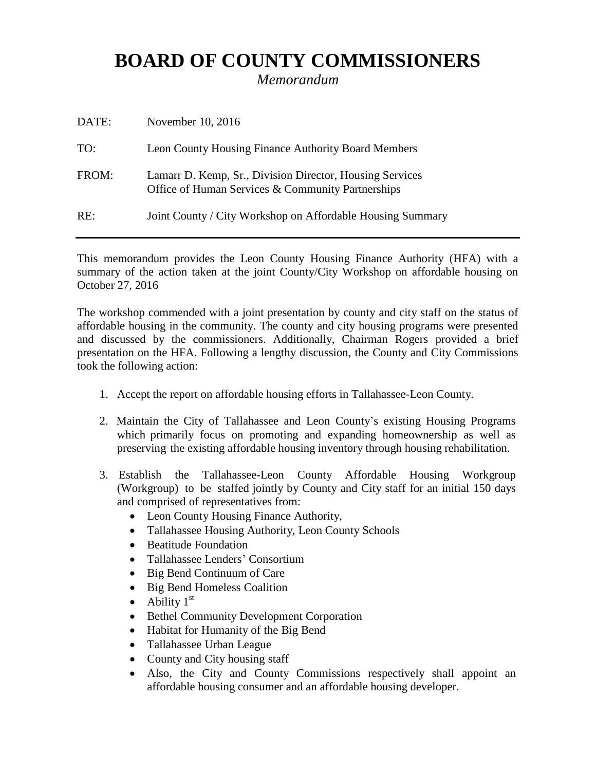## **BOARD OF COUNTY COMMISSIONERS**

*Memorandum*

| DATE: | November 10, 2016                                                                                             |
|-------|---------------------------------------------------------------------------------------------------------------|
| TO:   | Leon County Housing Finance Authority Board Members                                                           |
| FROM: | Lamarr D. Kemp, Sr., Division Director, Housing Services<br>Office of Human Services & Community Partnerships |
| RE:   | Joint County / City Workshop on Affordable Housing Summary                                                    |

This memorandum provides the Leon County Housing Finance Authority (HFA) with a summary of the action taken at the joint County/City Workshop on affordable housing on October 27, 2016

The workshop commended with a joint presentation by county and city staff on the status of affordable housing in the community. The county and city housing programs were presented and discussed by the commissioners. Additionally, Chairman Rogers provided a brief presentation on the HFA. Following a lengthy discussion, the County and City Commissions took the following action:

- 1. Accept the report on affordable housing efforts in Tallahassee-Leon County.
- 2. Maintain the City of Tallahassee and Leon County's existing Housing Programs which primarily focus on promoting and expanding homeownership as well as preserving the existing affordable housing inventory through housing rehabilitation.
- 3. Establish the Tallahassee-Leon County Affordable Housing Workgroup (Workgroup) to be staffed jointly by County and City staff for an initial 150 days and comprised of representatives from:
	- Leon County Housing Finance Authority,
	- Tallahassee Housing Authority, Leon County Schools
	- Beatitude Foundation
	- Tallahassee Lenders' Consortium
	- Big Bend Continuum of Care
	- Big Bend Homeless Coalition
	- Ability  $1<sup>st</sup>$
	- Bethel Community Development Corporation
	- Habitat for Humanity of the Big Bend
	- Tallahassee Urban League
	- County and City housing staff
	- Also, the City and County Commissions respectively shall appoint an affordable housing consumer and an affordable housing developer.